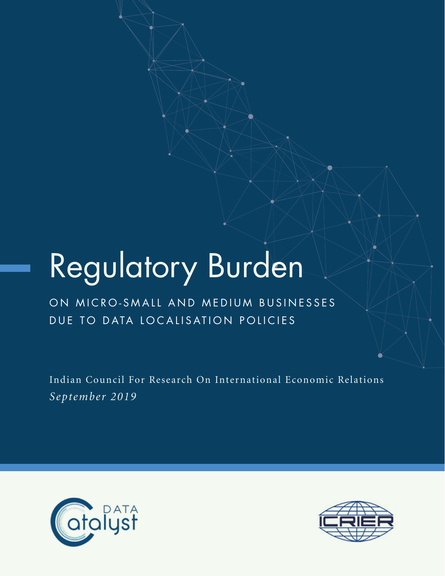# Regulatory Burden

# ON MICRO-SMALL AND MEDIUM BUSINESSES DUE TO DATA LOCALISATION POLICIES

Indian Council For Research On International Economic Relations *September 2019*



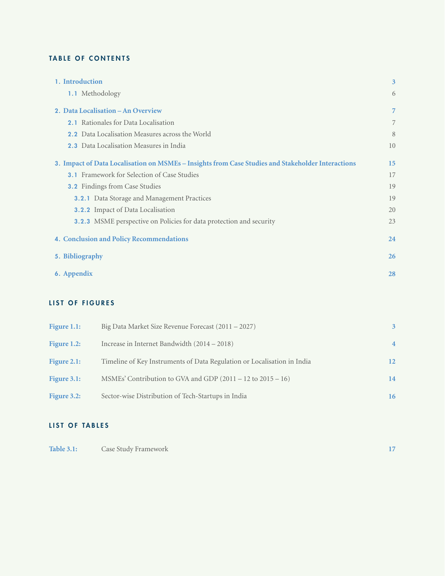#### TABLE OF CONTENTS

| 1. Introduction                                                                                   | 3  |
|---------------------------------------------------------------------------------------------------|----|
| 1.1 Methodology                                                                                   | 6  |
| 2. Data Localisation – An Overview                                                                | 7  |
| <b>2.1</b> Rationales for Data Localisation                                                       | 7  |
| <b>2.2</b> Data Localisation Measures across the World                                            | 8  |
| 2.3 Data Localisation Measures in India                                                           | 10 |
| 3. Impact of Data Localisation on MSMEs - Insights from Case Studies and Stakeholder Interactions | 15 |
| <b>3.1</b> Framework for Selection of Case Studies                                                | 17 |
| <b>3.2</b> Findings from Case Studies                                                             | 19 |
| <b>3.2.1</b> Data Storage and Management Practices                                                | 19 |
| <b>3.2.2</b> Impact of Data Localisation                                                          | 20 |
| <b>3.2.3</b> MSME perspective on Policies for data protection and security                        | 23 |
| <b>4. Conclusion and Policy Recommendations</b>                                                   | 24 |
| 5. Bibliography                                                                                   | 26 |
| 6. Appendix                                                                                       | 28 |
|                                                                                                   |    |

### LIST OF FIGURES

| Figure $1.1$ : | Big Data Market Size Revenue Forecast (2011 – 2027)                     | 3               |
|----------------|-------------------------------------------------------------------------|-----------------|
| Figure 1.2:    | Increase in Internet Bandwidth (2014 – 2018)                            | $\overline{4}$  |
| Figure $2.1$ : | Timeline of Key Instruments of Data Regulation or Localisation in India | 12 <sup>2</sup> |
| Figure 3.1:    | MSMEs' Contribution to GVA and GDP $(2011 - 12$ to $2015 - 16)$         | 14              |
| Figure 3.2:    | Sector-wise Distribution of Tech-Startups in India                      | 16              |

## LIST OF TABLES

| <b>Table 3.1:</b> | Case Study Framework |  |
|-------------------|----------------------|--|
|-------------------|----------------------|--|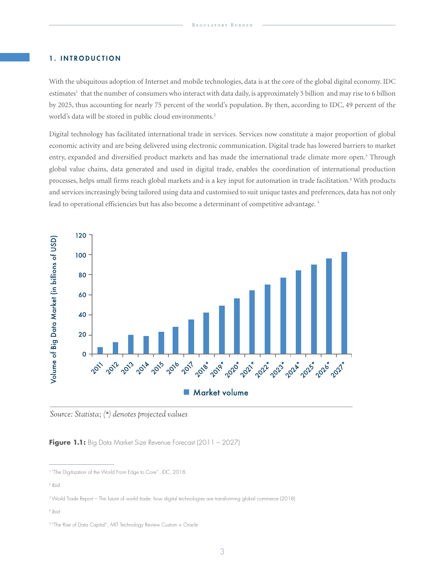#### 1. INTRODUCTION

With the ubiquitous adoption of Internet and mobile technologies, data is at the core of the global digital economy. IDC estimates<sup>1</sup> that the number of consumers who interact with data daily, is approximately 5 billion and may rise to 6 billion by 2025, thus accounting for nearly 75 percent of the world's population. By then, according to IDC, 49 percent of the world's data will be stored in public cloud environments.<sup>2</sup>

Digital technology has facilitated international trade in services. Services now constitute a major proportion of global economic activity and are being delivered using electronic communication. Digital trade has lowered barriers to market entry, expanded and diversified product markets and has made the international trade climate more open.<sup>3</sup> Through global value chains, data generated and used in digital trade, enables the coordination of international production processes, helps small firms reach global markets and is a key input for automation in trade facilitation.<sup>4</sup> With products and services increasingly being tailored using data and customised to suit unique tastes and preferences, data has not only lead to operational efficiencies but has also become a determinant of competitive advantage.<sup>5</sup>



Source: Statista; (\*) denotes projected values

**Figure 1.1:** Big Data Market Size Revenue Forecast (2011 – 2027)

<sup>1 &</sup>quot;The Digitization of the World From Edge to Core". *IDC*, 2018.

<sup>2</sup> *Ibid*

<sup>3</sup> World Trade Report – The future of world trade: how digital technologies are transforming global commerce (2018)

<sup>4</sup> *Ibid*

<sup>&</sup>lt;sup>5</sup> "The Rise of Data Capital", MIT Technology Review Custom + Oracle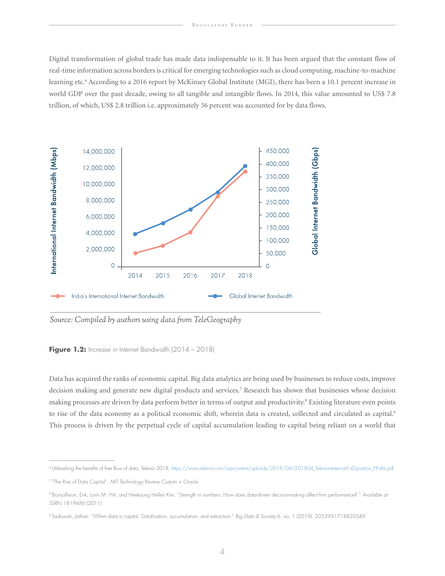Digital transformation of global trade has made data indispensable to it. It has been argued that the constant flow of real-time information across borders is critical for emerging technologies such as cloud computing, machine-to-machine learning etc.6 According to a 2016 report by McKinsey Global Institute (MGI), there has been a 10.1 percent increase in world GDP over the past decade, owing to all tangible and intangible flows. In 2014, this value amounted to US\$ 7.8 trillion, of which, US\$ 2.8 trillion i.e. approximately 36 percent was accounted for by data flows.



Source: Compiled by authors using data from TeleGeography

Figure 1.2: Increase in Internet Bandwidth (2014 – 2018)

Data has acquired the ranks of economic capital. Big data analytics are being used by businesses to reduce costs, improve decision making and generate new digital products and services.7 Research has shown that businesses whose decision making processes are driven by data perform better in terms of output and productivity.<sup>8</sup> Existing literature even points to rise of the data economy as a political economic shift, wherein data is created, collected and circulated as capital.<sup>9</sup> This process is driven by the perpetual cycle of capital accumulation leading to capital being reliant on a world that

<sup>6</sup> Unleashing the benefits of free flow of data, Telenor 2018, https://www.telenor.com/wp-content/uploads/2018/04/201804\_Telenor-external-FoD-position\_FINAL.pdf

<sup>7 &</sup>quot;The Rise of Data Capital", MIT Technology Review Custom + Oracle

<sup>8</sup> Brynjolfsson, Erik, Lorin M. Hitt, and Heekyung Hellen Kim. "Strength in numbers: How does data-driven decisionmaking affect firm performance?." *Available at SSRN 1819486* (2011).

<sup>9</sup> Sadowski, Jathan. "When data is capital: Datafication, accumulation, and extraction." *Big Data & Society* 6, no. 1 (2019): 2053951718820549.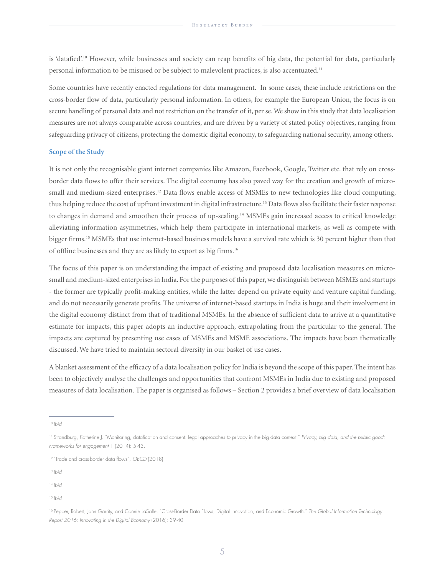is 'datafied'.10 However, while businesses and society can reap benefits of big data, the potential for data, particularly personal information to be misused or be subject to malevolent practices, is also accentuated.11

Some countries have recently enacted regulations for data management. In some cases, these include restrictions on the cross-border flow of data, particularly personal information. In others, for example the European Union, the focus is on secure handling of personal data and not restriction on the transfer of it, per se. We show in this study that data localisation measures are not always comparable across countries, and are driven by a variety of stated policy objectives, ranging from safeguarding privacy of citizens, protecting the domestic digital economy, to safeguarding national security, among others.

#### **Scope of the Study**

It is not only the recognisable giant internet companies like Amazon, Facebook, Google, Twitter etc. that rely on crossborder data flows to offer their services. The digital economy has also paved way for the creation and growth of microsmall and medium-sized enterprises.<sup>12</sup> Data flows enable access of MSMEs to new technologies like cloud computing, thus helping reduce the cost of upfront investment in digital infrastructure.<sup>13</sup> Data flows also facilitate their faster response to changes in demand and smoothen their process of up-scaling.<sup>14</sup> MSMEs gain increased access to critical knowledge alleviating information asymmetries, which help them participate in international markets, as well as compete with bigger firms.15 MSMEs that use internet-based business models have a survival rate which is 30 percent higher than that of offline businesses and they are as likely to export as big firms.16

The focus of this paper is on understanding the impact of existing and proposed data localisation measures on microsmall and medium-sized enterprises in India. For the purposes of this paper, we distinguish between MSMEs and startups - the former are typically profit-making entities, while the latter depend on private equity and venture capital funding, and do not necessarily generate profits. The universe of internet-based startups in India is huge and their involvement in the digital economy distinct from that of traditional MSMEs. In the absence of sufficient data to arrive at a quantitative estimate for impacts, this paper adopts an inductive approach, extrapolating from the particular to the general. The impacts are captured by presenting use cases of MSMEs and MSME associations. The impacts have been thematically discussed. We have tried to maintain sectoral diversity in our basket of use cases.

A blanket assessment of the efficacy of a data localisation policy for India is beyond the scope of this paper. The intent has been to objectively analyse the challenges and opportunities that confront MSMEs in India due to existing and proposed measures of data localisation. The paper is organised as follows – Section 2 provides a brief overview of data localisation

<sup>13</sup> *Ibid*

<sup>10</sup>*Ibid*

<sup>11</sup> Strandburg, Katherine J. "Monitoring, datafication and consent: legal approaches to privacy in the big data context." *Privacy, big data, and the public good: Frameworks for engagement* 1 (2014): 5-43.

<sup>12 &</sup>quot;Trade and cross-border data flows", *OECD* (2018)

<sup>14</sup> *Ibid*

<sup>15</sup> *Ibid*

<sup>16</sup> Pepper, Robert, John Garrity, and Connie LaSalle. "Cross-Border Data Flows, Digital Innovation, and Economic Growth." *The Global Information Technology Report 2016: Innovating in the Digital Economy* (2016): 39-40.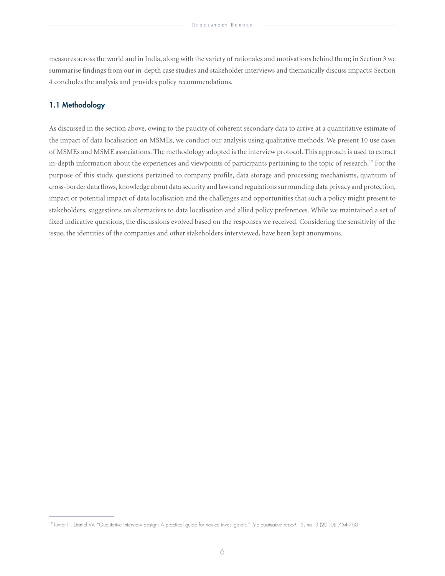measures across the world and in India, along with the variety of rationales and motivations behind them; in Section 3 we summarise findings from our in-depth case studies and stakeholder interviews and thematically discuss impacts; Section 4 concludes the analysis and provides policy recommendations.

#### 1.1 Methodology

As discussed in the section above, owing to the paucity of coherent secondary data to arrive at a quantitative estimate of the impact of data localisation on MSMEs, we conduct our analysis using qualitative methods. We present 10 use cases of MSMEs and MSME associations. The methodology adopted is the interview protocol. This approach is used to extract in-depth information about the experiences and viewpoints of participants pertaining to the topic of research.<sup>17</sup> For the purpose of this study, questions pertained to company profile, data storage and processing mechanisms, quantum of cross-border data flows, knowledge about data security and laws and regulations surrounding data privacy and protection, impact or potential impact of data localisation and the challenges and opportunities that such a policy might present to stakeholders, suggestions on alternatives to data localisation and allied policy preferences. While we maintained a set of fixed indicative questions, the discussions evolved based on the responses we received. Considering the sensitivity of the issue, the identities of the companies and other stakeholders interviewed, have been kept anonymous.

<sup>17</sup> Turner III, Daniel W. "Qualitative interview design: A practical guide for novice investigators." *The qualitative report* 15, no. 3 (2010): 754-760.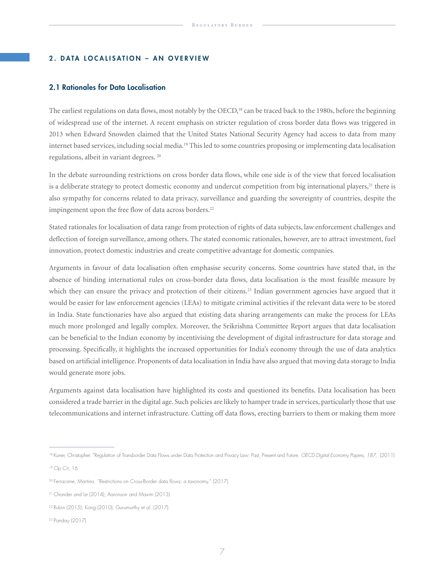#### 2. DATA LOCALISATION – AN OVERVIEW

#### 2.1 Rationales for Data Localisation

The earliest regulations on data flows, most notably by the OECD,<sup>18</sup> can be traced back to the 1980s, before the beginning of widespread use of the internet. A recent emphasis on stricter regulation of cross border data flows was triggered in 2013 when Edward Snowden claimed that the United States National Security Agency had access to data from many internet based services, including social media.<sup>19</sup> This led to some countries proposing or implementing data localisation regulations, albeit in variant degrees. 20

In the debate surrounding restrictions on cross border data flows, while one side is of the view that forced localisation is a deliberate strategy to protect domestic economy and undercut competition from big international players,<sup>21</sup> there is also sympathy for concerns related to data privacy, surveillance and guarding the sovereignty of countries, despite the impingement upon the free flow of data across borders.<sup>22</sup>

Stated rationales for localisation of data range from protection of rights of data subjects, law enforcement challenges and deflection of foreign surveillance, among others. The stated economic rationales, however, are to attract investment, fuel innovation, protect domestic industries and create competitive advantage for domestic companies.

Arguments in favour of data localisation often emphasise security concerns. Some countries have stated that, in the absence of binding international rules on cross-border data flows, data localisation is the most feasible measure by which they can ensure the privacy and protection of their citizens.<sup>23</sup> Indian government agencies have argued that it would be easier for law enforcement agencies (LEAs) to mitigate criminal activities if the relevant data were to be stored in India. State functionaries have also argued that existing data sharing arrangements can make the process for LEAs much more prolonged and legally complex. Moreover, the Srikrishna Committee Report argues that data localisation can be beneficial to the Indian economy by incentivising the development of digital infrastructure for data storage and processing. Specifically, it highlights the increased opportunities for India's economy through the use of data analytics based on artificial intelligence. Proponents of data localisation in India have also argued that moving data storage to India would generate more jobs.

Arguments against data localisation have highlighted its costs and questioned its benefits. Data localisation has been considered a trade barrier in the digital age. Such policies are likely to hamper trade in services, particularly those that use telecommunications and internet infrastructure. Cutting off data flows, erecting barriers to them or making them more

<sup>&</sup>lt;sup>18</sup> Kuner, Christopher. "Regulation of Transborder Data Flows under Data Protection and Privacy Law: Past, Present and Future. *OECD Digital Economy Papers, 187*, (2011)

<sup>19</sup>*Op Cit*, 16

<sup>20</sup> Ferracane, Martina. "Restrictions on Cross-Border data flows: a taxonomy." (2017).

<sup>21</sup> Chander and Le (2014); Aaronson and Maxim (2013)

<sup>22</sup> Rubin (2015); Kong (2010); Gurumurthy et al. (2017)

<sup>23</sup> Panday (2017)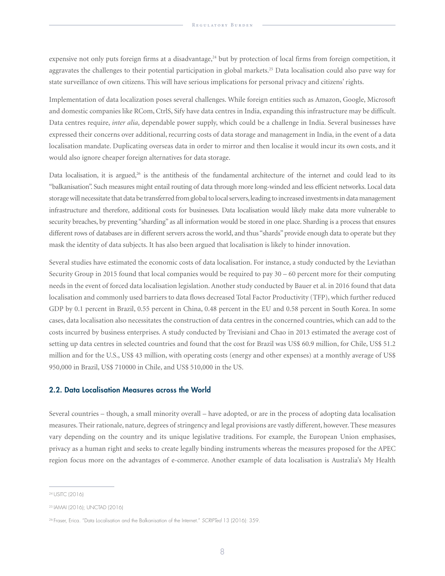expensive not only puts foreign firms at a disadvantage, $24$  but by protection of local firms from foreign competition, it aggravates the challenges to their potential participation in global markets.<sup>25</sup> Data localisation could also pave way for state surveillance of own citizens. This will have serious implications for personal privacy and citizens' rights.

Implementation of data localization poses several challenges. While foreign entities such as Amazon, Google, Microsoft and domestic companies like RCom, CtrlS, Sify have data centres in India, expanding this infrastructure may be difficult. Data centres require, *inter alia*, dependable power supply, which could be a challenge in India. Several businesses have expressed their concerns over additional, recurring costs of data storage and management in India, in the event of a data localisation mandate. Duplicating overseas data in order to mirror and then localise it would incur its own costs, and it would also ignore cheaper foreign alternatives for data storage.

Data localisation, it is argued, $26$  is the antithesis of the fundamental architecture of the internet and could lead to its "balkanisation". Such measures might entail routing of data through more long-winded and less efficient networks. Local data storage will necessitate that data be transferred from global to local servers, leading to increased investments in data management infrastructure and therefore, additional costs for businesses. Data localisation would likely make data more vulnerable to security breaches, by preventing "sharding" as all information would be stored in one place. Sharding is a process that ensures different rows of databases are in different servers across the world, and thus "shards" provide enough data to operate but they mask the identity of data subjects. It has also been argued that localisation is likely to hinder innovation.

Several studies have estimated the economic costs of data localisation. For instance, a study conducted by the Leviathan Security Group in 2015 found that local companies would be required to pay 30 – 60 percent more for their computing needs in the event of forced data localisation legislation. Another study conducted by Bauer et al. in 2016 found that data localisation and commonly used barriers to data flows decreased Total Factor Productivity (TFP), which further reduced GDP by 0.1 percent in Brazil, 0.55 percent in China, 0.48 percent in the EU and 0.58 percent in South Korea. In some cases, data localisation also necessitates the construction of data centres in the concerned countries, which can add to the costs incurred by business enterprises. A study conducted by Trevisiani and Chao in 2013 estimated the average cost of setting up data centres in selected countries and found that the cost for Brazil was US\$ 60.9 million, for Chile, US\$ 51.2 million and for the U.S., US\$ 43 million, with operating costs (energy and other expenses) at a monthly average of US\$ 950,000 in Brazil, US\$ 710000 in Chile, and US\$ 510,000 in the US.

#### 2.2. Data Localisation Measures across the World

Several countries – though, a small minority overall – have adopted, or are in the process of adopting data localisation measures. Their rationale, nature, degrees of stringency and legal provisions are vastly different, however. These measures vary depending on the country and its unique legislative traditions. For example, the European Union emphasises, privacy as a human right and seeks to create legally binding instruments whereas the measures proposed for the APEC region focus more on the advantages of e-commerce. Another example of data localisation is Australia's My Health

<sup>24</sup> USITC (2016)

<sup>25</sup> IAMAI (2016); UNCTAD (2016)

<sup>26</sup> Fraser, Erica. "Data Localisation and the Balkanisation of the Internet." *SCRIPTed* 13 (2016): 359.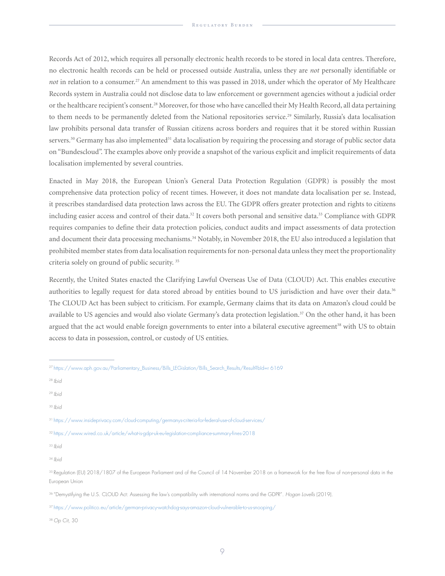Records Act of 2012, which requires all personally electronic health records to be stored in local data centres. Therefore, no electronic health records can be held or processed outside Australia, unless they are *not* personally identifiable or *not* in relation to a consumer.<sup>27</sup> An amendment to this was passed in 2018, under which the operator of My Healthcare Records system in Australia could not disclose data to law enforcement or government agencies without a judicial order or the healthcare recipient's consent.28 Moreover, for those who have cancelled their My Health Record, all data pertaining to them needs to be permanently deleted from the National repositories service.<sup>29</sup> Similarly, Russia's data localisation law prohibits personal data transfer of Russian citizens across borders and requires that it be stored within Russian servers.<sup>30</sup> Germany has also implemented<sup>31</sup> data localisation by requiring the processing and storage of public sector data on "Bundescloud". The examples above only provide a snapshot of the various explicit and implicit requirements of data localisation implemented by several countries.

Enacted in May 2018, the European Union's General Data Protection Regulation (GDPR) is possibly the most comprehensive data protection policy of recent times. However, it does not mandate data localisation per se. Instead, it prescribes standardised data protection laws across the EU. The GDPR offers greater protection and rights to citizens including easier access and control of their data.<sup>32</sup> It covers both personal and sensitive data.<sup>33</sup> Compliance with GDPR requires companies to define their data protection policies, conduct audits and impact assessments of data protection and document their data processing mechanisms.<sup>34</sup> Notably, in November 2018, the EU also introduced a legislation that prohibited member states from data localisation requirements for non-personal data unless they meet the proportionality criteria solely on ground of public security. 35

Recently, the United States enacted the Clarifying Lawful Overseas Use of Data (CLOUD) Act. This enables executive authorities to legally request for data stored abroad by entities bound to US jurisdiction and have over their data.<sup>36</sup> The CLOUD Act has been subject to criticism. For example, Germany claims that its data on Amazon's cloud could be available to US agencies and would also violate Germany's data protection legislation.<sup>37</sup> On the other hand, it has been argued that the act would enable foreign governments to enter into a bilateral executive agreement<sup>38</sup> with US to obtain access to data in possession, control, or custody of US entities.

<sup>33</sup>*Ibid*

<sup>34</sup>*Ibid*

38 *Op Cit*, 30

<sup>27</sup> https://www.aph.gov.au/Parliamentary\_Business/Bills\_LEGislation/Bills\_Search\_Results/Result?bId=r 6169

<sup>28</sup>*Ibid*

<sup>29</sup>*Ibid*

<sup>30</sup>*Ibid*

<sup>31</sup> https://www.insideprivacy.com/cloud-computing/germanys-criteria-for-federal-use-of-cloud-services/

<sup>32</sup> https://www.wired.co.uk/article/what-is-gdpr-uk-eu-legislation-compliance-summary-fines-2018

<sup>&</sup>lt;sup>35</sup> Regulation (EU) 2018/1807 of the European Parliament and of the Council of 14 November 2018 on a framework for the free flow of non-personal data in the European Union

<sup>36 &</sup>quot;Demystifying the U.S. CLOUD Act: Assessing the law's compatibility with international norms and the GDPR". *Hogan Lovells* (2019).

<sup>37</sup> https://www.politico.eu/article/german-privacy-watchdog-says-amazon-cloud-vulnerable-to-us-snooping/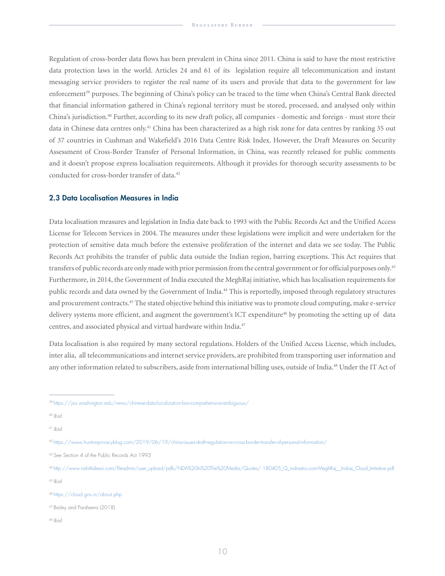Regulation of cross-border data flows has been prevalent in China since 2011. China is said to have the most restrictive data protection laws in the world. Articles 24 and 61 of its legislation require all telecommunication and instant messaging service providers to register the real name of its users and provide that data to the government for law enforcement<sup>39</sup> purposes. The beginning of China's policy can be traced to the time when China's Central Bank directed that financial information gathered in China's regional territory must be stored, processed, and analysed only within China's jurisdiction.40 Further, according to its new draft policy, all companies - domestic and foreign - must store their data in Chinese data centres only.<sup>41</sup> China has been characterized as a high risk zone for data centres by ranking 35 out of 37 countries in Cushman and Wakefield's 2016 Data Centre Risk Index. However, the Draft Measures on Security Assessment of Cross-Border Transfer of Personal Information, in China, was recently released for public comments and it doesn't propose express localisation requirements. Although it provides for thorough security assessments to be conducted for cross-border transfer of data.<sup>42</sup>

#### 2.3 Data Localisation Measures in India

Data localisation measures and legislation in India date back to 1993 with the Public Records Act and the Unified Access License for Telecom Services in 2004. The measures under these legislations were implicit and were undertaken for the protection of sensitive data much before the extensive proliferation of the internet and data we see today. The Public Records Act prohibits the transfer of public data outside the Indian region, barring exceptions. This Act requires that transfers of public records are only made with prior permission from the central government or for official purposes only.<sup>43</sup> Furthermore, in 2014, the Government of India executed the MeghRaj initiative, which has localisation requirements for public records and data owned by the Government of India.<sup>44</sup> This is reportedly, imposed through regulatory structures and procurement contracts.<sup>45</sup> The stated objective behind this initiative was to promote cloud computing, make e-service delivery systems more efficient, and augment the government's ICT expenditure<sup>46</sup> by promoting the setting up of data centres, and associated physical and virtual hardware within India.<sup>47</sup>

Data localisation is also required by many sectoral regulations. Holders of the Unified Access License, which includes, inter alia, all telecommunications and internet service providers, are prohibited from transporting user information and any other information related to subscribers, aside from international billing uses, outside of India.48 Under the IT Act of

48 *Ibid*

<sup>39</sup> https://jsis.washington.edu/news/chinese-data-localization-law-comprehensive-ambiguous/

<sup>40</sup>*Ibid*

<sup>41</sup>*Ibid*

<sup>42</sup> https://www.huntonprivacyblog.com/2019/06/19/china-issues-draft-regulation-on-cross-border-transfer-of-personal-information/

<sup>43</sup> See Section 4 of the Public Records Act 1993

<sup>44</sup> http://www.nishithdesai.com/fileadmin/user\_upload/pdfs/NDA%20In%20The%20Media/Quotes/ 180405\_Q\_indrastra.com-MeghRaj\_\_Indias\_Cloud\_Initiative.pdf <sup>45</sup>*Ibid*

<sup>46</sup> https://cloud.gov.in/about.php

<sup>47</sup> Bailey and Parsheera (2018)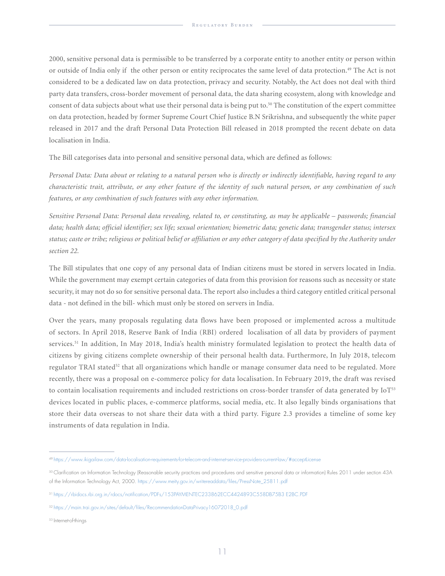2000, sensitive personal data is permissible to be transferred by a corporate entity to another entity or person within or outside of India only if the other person or entity reciprocates the same level of data protection.<sup>49</sup> The Act is not considered to be a dedicated law on data protection, privacy and security. Notably, the Act does not deal with third party data transfers, cross-border movement of personal data, the data sharing ecosystem, along with knowledge and consent of data subjects about what use their personal data is being put to. $50$  The constitution of the expert committee on data protection, headed by former Supreme Court Chief Justice B.N Srikrishna, and subsequently the white paper released in 2017 and the draft Personal Data Protection Bill released in 2018 prompted the recent debate on data localisation in India.

The Bill categorises data into personal and sensitive personal data, which are defined as follows:

*Personal Data: Data about or relating to a natural person who is directly or indirectly identifiable, having regard to any characteristic trait, attribute, or any other feature of the identity of such natural person, or any combination of such features, or any combination of such features with any other information.*

*Sensitive Personal Data: Personal data revealing, related to, or constituting, as may be applicable – passwords; financial data; health data; official identifier; sex life; sexual orientation; biometric data; genetic data; transgender status; intersex status; caste or tribe; religious or political belief or affiliation or any other category of data specified by the Authority under section 22.*

The Bill stipulates that one copy of any personal data of Indian citizens must be stored in servers located in India. While the government may exempt certain categories of data from this provision for reasons such as necessity or state security, it may not do so for sensitive personal data. The report also includes a third category entitled critical personal data - not defined in the bill- which must only be stored on servers in India.

Over the years, many proposals regulating data flows have been proposed or implemented across a multitude of sectors. In April 2018, Reserve Bank of India (RBI) ordered localisation of all data by providers of payment services.<sup>51</sup> In addition, In May 2018, India's health ministry formulated legislation to protect the health data of citizens by giving citizens complete ownership of their personal health data. Furthermore, In July 2018, telecom regulator TRAI stated<sup>52</sup> that all organizations which handle or manage consumer data need to be regulated. More recently, there was a proposal on e-commerce policy for data localisation. In February 2019, the draft was revised to contain localisation requirements and included restrictions on cross-border transfer of data generated by IoT<sup>53</sup> devices located in public places, e-commerce platforms, social media, etc. It also legally binds organisations that store their data overseas to not share their data with a third party. Figure 2.3 provides a timeline of some key instruments of data regulation in India.

<sup>49</sup> https://www.ikigailaw.com/data-localisation-requirements-for-telecom-and-internet-service-providers-current-law/#acceptLicense

<sup>50</sup> Clarification on Information Technology (Reasonable security practices and procedures and sensitive personal data or information) Rules 2011 under section 43A of the Information Technology Act, 2000. https://www.meity.gov.in/writereaddata/files/PressNote\_25811.pdf

<sup>51</sup> https://rbidocs.rbi.org.in/rdocs/notification/PDFs/153PAYMENTEC233862ECC4424893C558DB75B3 E2BC.PDF

<sup>52</sup> https://main.trai.gov.in/sites/default/files/RecommendationDataPrivacy16072018\_0.pdf

<sup>53</sup> Internet-of-things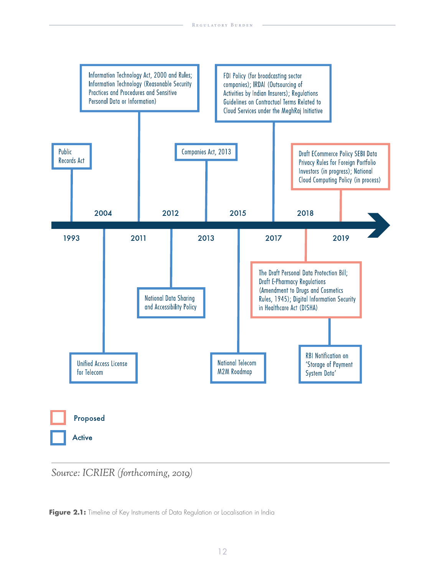

Source: ICRIER (forthcoming, 2019)

Figure 2.1: Timeline of Key Instruments of Data Regulation or Localisation in India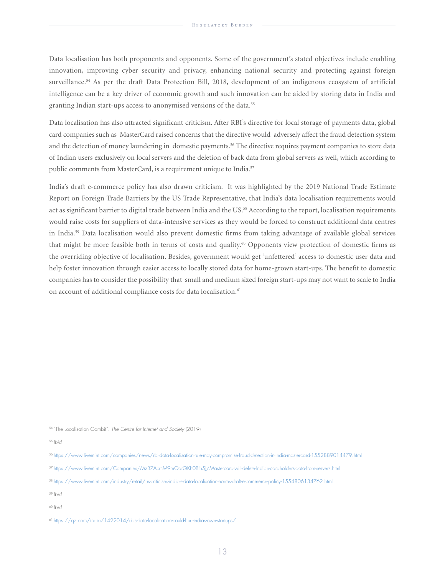Data localisation has both proponents and opponents. Some of the government's stated objectives include enabling innovation, improving cyber security and privacy, enhancing national security and protecting against foreign surveillance.<sup>54</sup> As per the draft Data Protection Bill, 2018, development of an indigenous ecosystem of artificial intelligence can be a key driver of economic growth and such innovation can be aided by storing data in India and granting Indian start-ups access to anonymised versions of the data.<sup>55</sup>

Data localisation has also attracted significant criticism. After RBI's directive for local storage of payments data, global card companies such as MasterCard raised concerns that the directive would adversely affect the fraud detection system and the detection of money laundering in domestic payments.<sup>56</sup> The directive requires payment companies to store data of Indian users exclusively on local servers and the deletion of back data from global servers as well, which according to public comments from MasterCard, is a requirement unique to India.<sup>57</sup>

India's draft e-commerce policy has also drawn criticism. It was highlighted by the 2019 National Trade Estimate Report on Foreign Trade Barriers by the US Trade Representative, that India's data localisation requirements would act as significant barrier to digital trade between India and the US.<sup>58</sup> According to the report, localisation requirements would raise costs for suppliers of data-intensive services as they would be forced to construct additional data centres in India.59 Data localisation would also prevent domestic firms from taking advantage of available global services that might be more feasible both in terms of costs and quality.<sup>60</sup> Opponents view protection of domestic firms as the overriding objective of localisation. Besides, government would get 'unfettered' access to domestic user data and help foster innovation through easier access to locally stored data for home-grown start-ups. The benefit to domestic companies has to consider the possibility that small and medium sized foreign start-ups may not want to scale to India on account of additional compliance costs for data localisation.<sup>61</sup>

<sup>54 &</sup>quot;The Localisation Gambit". *The Centre for Internet and Society* (2019)

<sup>55</sup>*Ibid*

<sup>56</sup> https://www.livemint.com/companies/news/rbi-data-localisation-rule-may-compromise-fraud-detection-in-india-mastercard-1552889014479.html

<sup>57</sup> https://www.livemint.com/Companies/MzB7AcmM9mOarQKh0BIn5J/Mastercard-will-delete-Indian-cardholders-data-from-servers.html

<sup>58</sup> https://www.livemint.com/industry/retail/us-criticises-india-s-data-localisation-norms-draft-e-commerce-policy-1554806134762.html

<sup>59</sup>*Ibid*

<sup>60</sup>*Ibid*

<sup>61</sup> https://qz.com/india/1422014/rbis-data-localisation-could-hurt-indias-own-startups/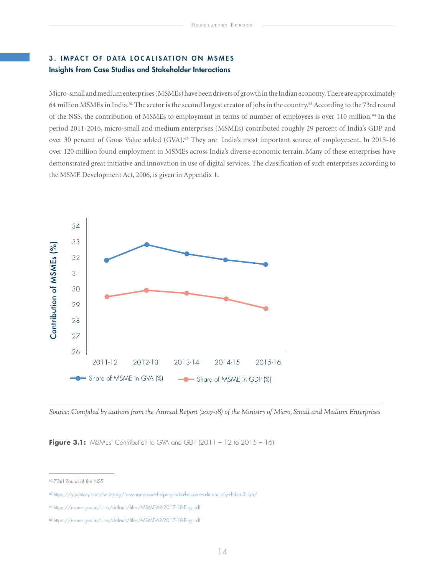# 3. IMPACT OF DATA LOCALISATION ON MSMES Insights from Case Studies and Stakeholder Interactions

Micro-small and medium enterprises (MSMEs) have been drivers of growth in the Indian economy. There are approximately 64 million MSMEs in India.62 The sector is the second largest creator of jobs in the country.63 According to the 73rd round of the NSS, the contribution of MSMEs to employment in terms of number of employees is over 110 million.64 In the period 2011-2016, micro-small and medium enterprises (MSMEs) contributed roughly 29 percent of India's GDP and over 30 percent of Gross Value added (GVA).<sup>65</sup> They are India's most important source of employment. In 2015-16 over 120 million found employment in MSMEs across India's diverse economic terrain. Many of these enterprises have demonstrated great initiative and innovation in use of digital services. The classification of such enterprises according to the MSME Development Act, 2006, is given in Appendix 1.



Source: Compiled by authors from the Annual Report (2017-18) of the Ministry of Micro, Small and Medium Enterprises

**Figure 3.1:** MSMEs' Contribution to GVA and GDP (2011 – 12 to 2015 – 16)

<sup>62 73</sup>rd Round of the NSS

<sup>&</sup>lt;sup>63</sup> https://yourstory.com/smbstory/how-msmes-are-helping-india-become-a-financially-i-hdxm3ljlqh/

<sup>64</sup> https://msme.gov.in/sites/default/files/MSME-AR-2017-18-Eng.pdf

<sup>65</sup> https://msme.gov.in/sites/default/files/MSME-AR-2017-18-Eng.pdf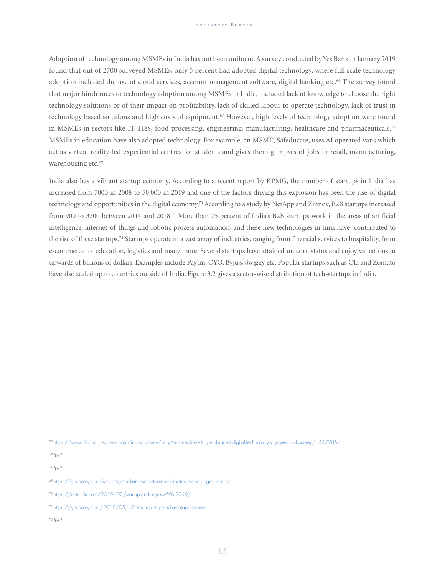Adoption of technology among MSMEs in India has not been uniform. A survey conducted by Yes Bank in January 2019 found that out of 2700 surveyed MSMEs, only 5 percent had adopted digital technology, where full scale technology adoption included the use of cloud services, account management software, digital banking etc.<sup>66</sup> The survey found that major hindrances to technology adoption among MSMEs in India, included lack of knowledge to choose the right technology solutions or of their impact on profitability, lack of skilled labour to operate technology, lack of trust in technology based solutions and high costs of equipment.<sup>67</sup> However, high levels of technology adoption were found in MSMEs in sectors like IT, ITeS, food processing, engineering, manufacturing, healthcare and pharmaceuticals.<sup>68</sup> MSMEs in education have also adopted technology. For example, an MSME, Safeducate, uses AI operated vans which act as virtual reality-led experiential centres for students and gives them glimpses of jobs in retail, manufacturing, warehousing etc.<sup>69</sup>

India also has a vibrant startup economy. According to a recent report by KPMG, the number of startups in India has increased from 7000 in 2008 to 50,000 in 2019 and one of the factors driving this explosion has been the rise of digital technology and opportunities in the digital economy.<sup>70</sup> According to a study by NetApp and Zinnov, B2B startups increased from 900 to 3200 between 2014 and 2018.71 More than 75 percent of India's B2B startups work in the areas of artificial intelligence, internet-of-things and robotic process automation, and these new technologies in turn have contributed to the rise of these startups.<sup>72</sup> Startups operate in a vast array of industries, ranging from financial services to hospitality, from e-commerce to education, logistics and many more. Several startups have attained unicorn status and enjoy valuations in upwards of billions of dollars. Examples include Paytm, OYO, Byju's, Swiggy etc. Popular startups such as Ola and Zomato have also scaled up to countries outside of India. Figure 3.2 gives a sector-wise distribution of tech-startups in India.

<sup>66</sup> https://www.financialexpress.com/industry/sme/only-5-msmes-have-fully-embraced-digital-technology-says-yes-bank-survey/1447985/

<sup>67</sup>*Ibid*

<sup>68</sup>*Ibid*

<sup>69</sup> https://yourstory.com/smbstory/indian-msmes-too-are-adopting-technological-innova

<sup>70</sup> https://entrackr.com/2019/02/startups-india-grew-50k-2019/

<sup>71</sup> https://yourstory.com/2019/05/b2b-tech-startups-india-netapp-zinnov

<sup>72</sup> *Ibid*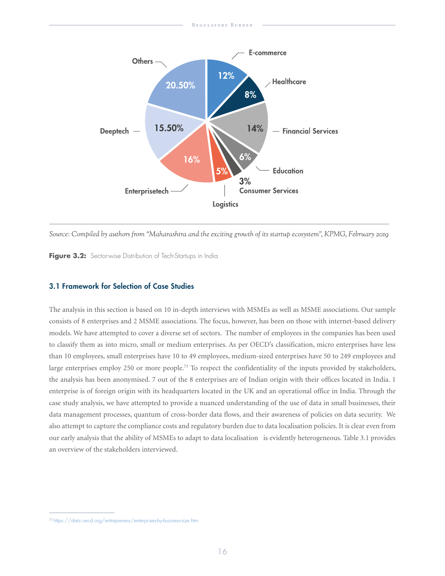

Source: Compiled by authors from "Maharashtra and the exciting growth of its startup ecosystem", KPMG, February 2019

Figure 3.2: Sector-wise Distribution of Tech-Startups in India

#### 3.1 Framework for Selection of Case Studies

The analysis in this section is based on 10 in-depth interviews with MSMEs as well as MSME associations. Our sample consists of 8 enterprises and 2 MSME associations. The focus, however, has been on those with internet-based delivery models. We have attempted to cover a diverse set of sectors. The number of employees in the companies has been used to classify them as into micro, small or medium enterprises. As per OECD's classification, micro enterprises have less than 10 employees, small enterprises have 10 to 49 employees, medium-sized enterprises have 50 to 249 employees and large enterprises employ 250 or more people.<sup>73</sup> To respect the confidentiality of the inputs provided by stakeholders, the analysis has been anonymised. 7 out of the 8 enterprises are of Indian origin with their offices located in India. 1 enterprise is of foreign origin with its headquarters located in the UK and an operational office in India. Through the case study analysis, we have attempted to provide a nuanced understanding of the use of data in small businesses, their data management processes, quantum of cross-border data flows, and their awareness of policies on data security. We also attempt to capture the compliance costs and regulatory burden due to data localisation policies. It is clear even from our early analysis that the ability of MSMEs to adapt to data localisation is evidently heterogeneous. Table 3.1 provides an overview of the stakeholders interviewed.

<sup>73</sup> https://data.oecd.org/entrepreneur/enterprises-by-business-size.htm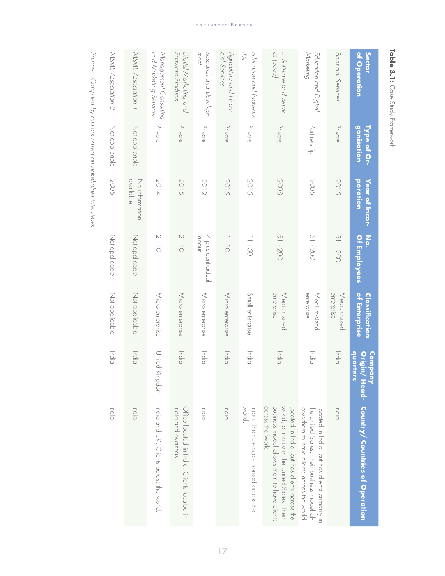| MSME Association 2 | MSME Association 1          | and Marketing Services<br>Management Consulting | Software Products<br>Digital Marketing and                         | ment<br>Research and Develop- | cial Services<br>Agriculture and Finan- | Бuļ<br>Education and Network-                      | es (SaaS)<br>IT Software and Servic-                                                                                                                            | Marketing<br>Education and Digital                                                                                                           | Financial Services         | <b>Sector</b><br>of Operation                 |
|--------------------|-----------------------------|-------------------------------------------------|--------------------------------------------------------------------|-------------------------------|-----------------------------------------|----------------------------------------------------|-----------------------------------------------------------------------------------------------------------------------------------------------------------------|----------------------------------------------------------------------------------------------------------------------------------------------|----------------------------|-----------------------------------------------|
| Not applicable     | Not applicable              | Private                                         | Private                                                            | Private                       | Private                                 | Private                                            | Private                                                                                                                                                         | Partnership                                                                                                                                  | Private                    | <u>ganisation</u><br>Type of Or-              |
| <b>2005</b>        | available<br>No information | 2014                                            | 2015                                                               | 2012                          | 2015                                    | 2015                                               | 2008                                                                                                                                                            | <b>2005</b>                                                                                                                                  | 2015                       | <b>Poration</b><br>Year of Incor-             |
| Not applicable     | Not applicable              | $\geq -10$                                      | $2 - 10$                                                           | luodol<br>7 plus contractual  | $\frac{1}{1} - \frac{1}{1}$             | $11 - 50$                                          | 51 - 200                                                                                                                                                        | 51 - 200                                                                                                                                     | $51 - 200$                 | $\frac{2}{9}$<br>Of Employees                 |
| Not applicable     | Not applicable              | Micro enterprise                                | Micro enterprise                                                   | Micro enterprise              | Micro enterprise                        | Small enterprise                                   | enterprise<br>Medium-sized                                                                                                                                      | enterprise<br>Medium-sized                                                                                                                   | enterprise<br>Medium-sized | of Enterprise<br>Classification               |
| India              | India                       | United<br>Kingdom                               | India                                                              | India                         | lhdia                                   | lndia                                              | lndia                                                                                                                                                           | lndia                                                                                                                                        | India                      | quarters<br><b>Company</b>                    |
| lndia              | India                       | India and OK: Clients accoss #e xock            | India and overseas.<br>Office located in India. Clients located in | India                         | India                                   | India. Their users are spread across the<br>world. | across the world.<br>business model allows them to have clients<br>world, primarily in the United States. Their<br>Located in India, but has clients across the | lows them to prove clients accoss the world<br>the United States. Their business model al-<br>Located in India, but has clients primarily in | India                      | Origin/ Head- Country/ Countries of Operation |

*Source: Compiled by authors based on stakeholder interviews*

Table 3.1: Case Study Framework **Table 3.1:** Case Study Framework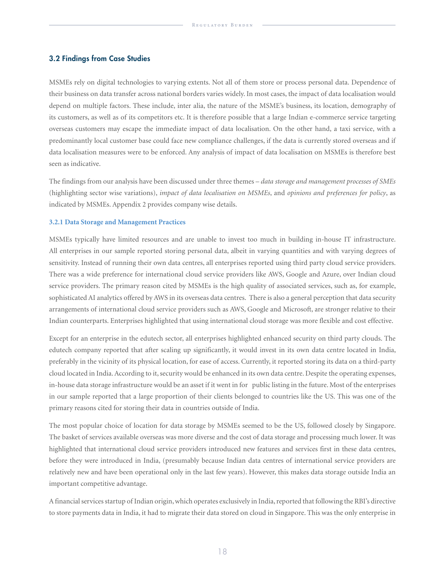#### 3.2 Findings from Case Studies

MSMEs rely on digital technologies to varying extents. Not all of them store or process personal data. Dependence of their business on data transfer across national borders varies widely. In most cases, the impact of data localisation would depend on multiple factors. These include, inter alia, the nature of the MSME's business, its location, demography of its customers, as well as of its competitors etc. It is therefore possible that a large Indian e-commerce service targeting overseas customers may escape the immediate impact of data localisation. On the other hand, a taxi service, with a predominantly local customer base could face new compliance challenges, if the data is currently stored overseas and if data localisation measures were to be enforced. Any analysis of impact of data localisation on MSMEs is therefore best seen as indicative.

The findings from our analysis have been discussed under three themes – *data storage and management processes of SMEs* (highlighting sector wise variations), *impact of data localisation on MSMEs*, and *opinions and preferences for policy*, as indicated by MSMEs. Appendix 2 provides company wise details.

#### **3.2.1 Data Storage and Management Practices**

MSMEs typically have limited resources and are unable to invest too much in building in-house IT infrastructure. All enterprises in our sample reported storing personal data, albeit in varying quantities and with varying degrees of sensitivity. Instead of running their own data centres, all enterprises reported using third party cloud service providers. There was a wide preference for international cloud service providers like AWS, Google and Azure, over Indian cloud service providers. The primary reason cited by MSMEs is the high quality of associated services, such as, for example, sophisticated AI analytics offered by AWS in its overseas data centres. There is also a general perception that data security arrangements of international cloud service providers such as AWS, Google and Microsoft, are stronger relative to their Indian counterparts. Enterprises highlighted that using international cloud storage was more flexible and cost effective.

Except for an enterprise in the edutech sector, all enterprises highlighted enhanced security on third party clouds. The edutech company reported that after scaling up significantly, it would invest in its own data centre located in India, preferably in the vicinity of its physical location, for ease of access. Currently, it reported storing its data on a third-party cloud located in India. According to it, security would be enhanced in its own data centre. Despite the operating expenses, in-house data storage infrastructure would be an asset if it went in for public listing in the future. Most of the enterprises in our sample reported that a large proportion of their clients belonged to countries like the US. This was one of the primary reasons cited for storing their data in countries outside of India.

The most popular choice of location for data storage by MSMEs seemed to be the US, followed closely by Singapore. The basket of services available overseas was more diverse and the cost of data storage and processing much lower. It was highlighted that international cloud service providers introduced new features and services first in these data centres, before they were introduced in India, (presumably because Indian data centres of international service providers are relatively new and have been operational only in the last few years). However, this makes data storage outside India an important competitive advantage.

A financial services startup of Indian origin, which operates exclusively in India, reported that following the RBI's directive to store payments data in India, it had to migrate their data stored on cloud in Singapore. This was the only enterprise in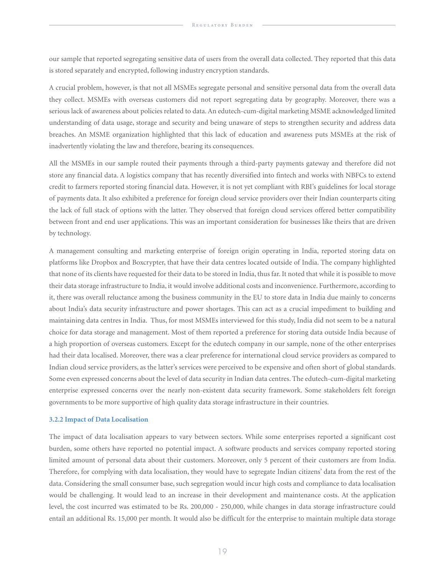our sample that reported segregating sensitive data of users from the overall data collected. They reported that this data is stored separately and encrypted, following industry encryption standards.

A crucial problem, however, is that not all MSMEs segregate personal and sensitive personal data from the overall data they collect. MSMEs with overseas customers did not report segregating data by geography. Moreover, there was a serious lack of awareness about policies related to data. An edutech-cum-digital marketing MSME acknowledged limited understanding of data usage, storage and security and being unaware of steps to strengthen security and address data breaches. An MSME organization highlighted that this lack of education and awareness puts MSMEs at the risk of inadvertently violating the law and therefore, bearing its consequences.

All the MSMEs in our sample routed their payments through a third-party payments gateway and therefore did not store any financial data. A logistics company that has recently diversified into fintech and works with NBFCs to extend credit to farmers reported storing financial data. However, it is not yet compliant with RBI's guidelines for local storage of payments data. It also exhibited a preference for foreign cloud service providers over their Indian counterparts citing the lack of full stack of options with the latter. They observed that foreign cloud services offered better compatibility between front and end user applications. This was an important consideration for businesses like theirs that are driven by technology.

A management consulting and marketing enterprise of foreign origin operating in India, reported storing data on platforms like Dropbox and Boxcrypter, that have their data centres located outside of India. The company highlighted that none of its clients have requested for their data to be stored in India, thus far. It noted that while it is possible to move their data storage infrastructure to India, it would involve additional costs and inconvenience. Furthermore, according to it, there was overall reluctance among the business community in the EU to store data in India due mainly to concerns about India's data security infrastructure and power shortages. This can act as a crucial impediment to building and maintaining data centres in India. Thus, for most MSMEs interviewed for this study, India did not seem to be a natural choice for data storage and management. Most of them reported a preference for storing data outside India because of a high proportion of overseas customers. Except for the edutech company in our sample, none of the other enterprises had their data localised. Moreover, there was a clear preference for international cloud service providers as compared to Indian cloud service providers, as the latter's services were perceived to be expensive and often short of global standards. Some even expressed concerns about the level of data security in Indian data centres. The edutech-cum-digital marketing enterprise expressed concerns over the nearly non-existent data security framework. Some stakeholders felt foreign governments to be more supportive of high quality data storage infrastructure in their countries.

#### **3.2.2 Impact of Data Localisation**

The impact of data localisation appears to vary between sectors. While some enterprises reported a significant cost burden, some others have reported no potential impact. A software products and services company reported storing limited amount of personal data about their customers. Moreover, only 5 percent of their customers are from India. Therefore, for complying with data localisation, they would have to segregate Indian citizens' data from the rest of the data. Considering the small consumer base, such segregation would incur high costs and compliance to data localisation would be challenging. It would lead to an increase in their development and maintenance costs. At the application level, the cost incurred was estimated to be Rs. 200,000 - 250,000, while changes in data storage infrastructure could entail an additional Rs. 15,000 per month. It would also be difficult for the enterprise to maintain multiple data storage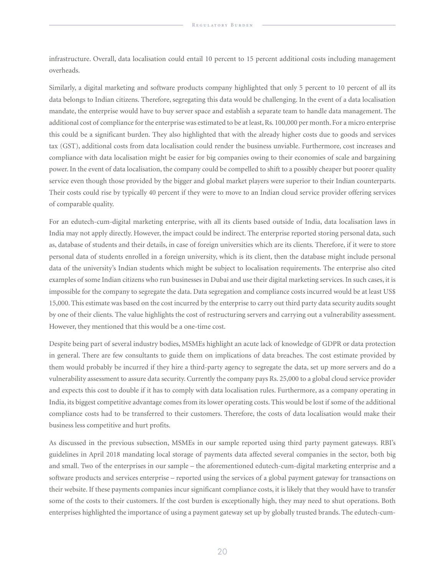infrastructure. Overall, data localisation could entail 10 percent to 15 percent additional costs including management overheads.

Similarly, a digital marketing and software products company highlighted that only 5 percent to 10 percent of all its data belongs to Indian citizens. Therefore, segregating this data would be challenging. In the event of a data localisation mandate, the enterprise would have to buy server space and establish a separate team to handle data management. The additional cost of compliance for the enterprise was estimated to be at least, Rs. 100,000 per month. For a micro enterprise this could be a significant burden. They also highlighted that with the already higher costs due to goods and services tax (GST), additional costs from data localisation could render the business unviable. Furthermore, cost increases and compliance with data localisation might be easier for big companies owing to their economies of scale and bargaining power. In the event of data localisation, the company could be compelled to shift to a possibly cheaper but poorer quality service even though those provided by the bigger and global market players were superior to their Indian counterparts. Their costs could rise by typically 40 percent if they were to move to an Indian cloud service provider offering services of comparable quality.

For an edutech-cum-digital marketing enterprise, with all its clients based outside of India, data localisation laws in India may not apply directly. However, the impact could be indirect. The enterprise reported storing personal data, such as, database of students and their details, in case of foreign universities which are its clients. Therefore, if it were to store personal data of students enrolled in a foreign university, which is its client, then the database might include personal data of the university's Indian students which might be subject to localisation requirements. The enterprise also cited examples of some Indian citizens who run businesses in Dubai and use their digital marketing services. In such cases, it is impossible for the company to segregate the data. Data segregation and compliance costs incurred would be at least US\$ 15,000. This estimate was based on the cost incurred by the enterprise to carry out third party data security audits sought by one of their clients. The value highlights the cost of restructuring servers and carrying out a vulnerability assessment. However, they mentioned that this would be a one-time cost.

Despite being part of several industry bodies, MSMEs highlight an acute lack of knowledge of GDPR or data protection in general. There are few consultants to guide them on implications of data breaches. The cost estimate provided by them would probably be incurred if they hire a third-party agency to segregate the data, set up more servers and do a vulnerability assessment to assure data security. Currently the company pays Rs. 25,000 to a global cloud service provider and expects this cost to double if it has to comply with data localisation rules. Furthermore, as a company operating in India, its biggest competitive advantage comes from its lower operating costs. This would be lost if some of the additional compliance costs had to be transferred to their customers. Therefore, the costs of data localisation would make their business less competitive and hurt profits.

As discussed in the previous subsection, MSMEs in our sample reported using third party payment gateways. RBI's guidelines in April 2018 mandating local storage of payments data affected several companies in the sector, both big and small. Two of the enterprises in our sample – the aforementioned edutech-cum-digital marketing enterprise and a software products and services enterprise – reported using the services of a global payment gateway for transactions on their website. If these payments companies incur significant compliance costs, it is likely that they would have to transfer some of the costs to their customers. If the cost burden is exceptionally high, they may need to shut operations. Both enterprises highlighted the importance of using a payment gateway set up by globally trusted brands. The edutech-cum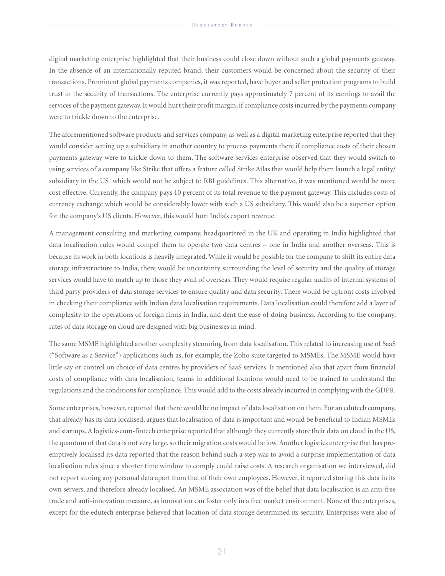digital marketing enterprise highlighted that their business could close down without such a global payments gateway. In the absence of an internationally reputed brand, their customers would be concerned about the security of their transactions. Prominent global payments companies, it was reported, have buyer and seller protection programs to build trust in the security of transactions. The enterprise currently pays approximately 7 percent of its earnings to avail the services of the payment gateway. It would hurt their profit margin, if compliance costs incurred by the payments company were to trickle down to the enterprise.

The aforementioned software products and services company, as well as a digital marketing enterprise reported that they would consider setting up a subsidiary in another country to process payments there if compliance costs of their chosen payments gateway were to trickle down to them, The software services enterprise observed that they would switch to using services of a company like Strike that offers a feature called Strike Atlas that would help them launch a legal entity/ subsidiary in the US which would not be subject to RBI guidelines. This alternative, it was mentioned would be more cost effective. Currently, the company pays 10 percent of its total revenue to the payment gateway. This includes costs of currency exchange which would be considerably lower with such a US subsidiary. This would also be a superior option for the company's US clients. However, this would hurt India's export revenue.

A management consulting and marketing company, headquartered in the UK and operating in India highlighted that data localisation rules would compel them to operate two data centres – one in India and another overseas. This is because its work in both locations is heavily integrated. While it would be possible for the company to shift its entire data storage infrastructure to India, there would be uncertainty surrounding the level of security and the quality of storage services would have to match up to those they avail of overseas. They would require regular audits of internal systems of third party providers of data storage services to ensure quality and data security. There would be upfront costs involved in checking their compliance with Indian data localisation requirements. Data localisation could therefore add a layer of complexity to the operations of foreign firms in India, and dent the ease of doing business. According to the company, rates of data storage on cloud are designed with big businesses in mind.

The same MSME highlighted another complexity stemming from data localisation. This related to increasing use of SaaS ("Software as a Service") applications such as, for example, the Zoho suite targeted to MSMEs. The MSME would have little say or control on choice of data centres by providers of SaaS services. It mentioned also that apart from financial costs of compliance with data localisation, teams in additional locations would need to be trained to understand the regulations and the conditions for compliance. This would add to the costs already incurred in complying with the GDPR.

Some enterprises, however, reported that there would be no impact of data localisation on them. For an edutech company, that already has its data localised, argues that localisation of data is important and would be beneficial to Indian MSMEs and startups. A logistics-cum-fintech enterprise reported that although they currently store their data on cloud in the US, the quantum of that data is not very large. so their migration costs would be low. Another logistics enterprise that has preemptively localised its data reported that the reason behind such a step was to avoid a surprise implementation of data localisation rules since a shorter time window to comply could raise costs. A research organisation we interviewed, did not report storing any personal data apart from that of their own employees. However, it reported storing this data in its own servers, and therefore already localised. An MSME association was of the belief that data localisation is an anti-free trade and anti-innovation measure, as innovation can foster only in a free market environment. None of the enterprises, except for the edutech enterprise believed that location of data storage determined its security. Enterprises were also of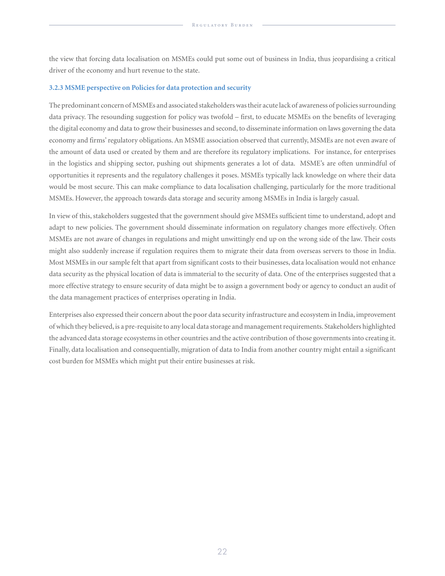the view that forcing data localisation on MSMEs could put some out of business in India, thus jeopardising a critical driver of the economy and hurt revenue to the state.

#### **3.2.3 MSME perspective on Policies for data protection and security**

The predominant concern of MSMEs and associated stakeholders was their acute lack of awareness of policies surrounding data privacy. The resounding suggestion for policy was twofold – first, to educate MSMEs on the benefits of leveraging the digital economy and data to grow their businesses and second, to disseminate information on laws governing the data economy and firms' regulatory obligations. An MSME association observed that currently, MSMEs are not even aware of the amount of data used or created by them and are therefore its regulatory implications. For instance, for enterprises in the logistics and shipping sector, pushing out shipments generates a lot of data. MSME's are often unmindful of opportunities it represents and the regulatory challenges it poses. MSMEs typically lack knowledge on where their data would be most secure. This can make compliance to data localisation challenging, particularly for the more traditional MSMEs. However, the approach towards data storage and security among MSMEs in India is largely casual.

In view of this, stakeholders suggested that the government should give MSMEs sufficient time to understand, adopt and adapt to new policies. The government should disseminate information on regulatory changes more effectively. Often MSMEs are not aware of changes in regulations and might unwittingly end up on the wrong side of the law. Their costs might also suddenly increase if regulation requires them to migrate their data from overseas servers to those in India. Most MSMEs in our sample felt that apart from significant costs to their businesses, data localisation would not enhance data security as the physical location of data is immaterial to the security of data. One of the enterprises suggested that a more effective strategy to ensure security of data might be to assign a government body or agency to conduct an audit of the data management practices of enterprises operating in India.

Enterprises also expressed their concern about the poor data security infrastructure and ecosystem in India, improvement of which they believed, is a pre-requisite to any local data storage and management requirements. Stakeholders highlighted the advanced data storage ecosystems in other countries and the active contribution of those governments into creating it. Finally, data localisation and consequentially, migration of data to India from another country might entail a significant cost burden for MSMEs which might put their entire businesses at risk.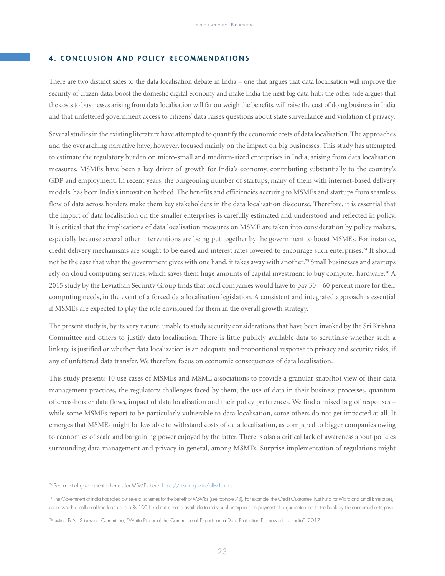#### 4. CONCLUSION AND POLICY RECOMMENDATIONS

There are two distinct sides to the data localisation debate in India – one that argues that data localisation will improve the security of citizen data, boost the domestic digital economy and make India the next big data hub; the other side argues that the costs to businesses arising from data localisation will far outweigh the benefits, will raise the cost of doing business in India and that unfettered government access to citizens' data raises questions about state surveillance and violation of privacy.

Several studies in the existing literature have attempted to quantify the economic costs of data localisation. The approaches and the overarching narrative have, however, focused mainly on the impact on big businesses. This study has attempted to estimate the regulatory burden on micro-small and medium-sized enterprises in India, arising from data localisation measures. MSMEs have been a key driver of growth for India's economy, contributing substantially to the country's GDP and employment. In recent years, the burgeoning number of startups, many of them with internet-based delivery models, has been India's innovation hotbed. The benefits and efficiencies accruing to MSMEs and startups from seamless flow of data across borders make them key stakeholders in the data localisation discourse. Therefore, it is essential that the impact of data localisation on the smaller enterprises is carefully estimated and understood and reflected in policy. It is critical that the implications of data localisation measures on MSME are taken into consideration by policy makers, especially because several other interventions are being put together by the government to boost MSMEs. For instance, credit delivery mechanisms are sought to be eased and interest rates lowered to encourage such enterprises.74 It should not be the case that what the government gives with one hand, it takes away with another.<sup>75</sup> Small businesses and startups rely on cloud computing services, which saves them huge amounts of capital investment to buy computer hardware.76 A 2015 study by the Leviathan Security Group finds that local companies would have to pay 30 – 60 percent more for their computing needs, in the event of a forced data localisation legislation. A consistent and integrated approach is essential if MSMEs are expected to play the role envisioned for them in the overall growth strategy.

The present study is, by its very nature, unable to study security considerations that have been invoked by the Sri Krishna Committee and others to justify data localisation. There is little publicly available data to scrutinise whether such a linkage is justified or whether data localization is an adequate and proportional response to privacy and security risks, if any of unfettered data transfer. We therefore focus on economic consequences of data localisation.

This study presents 10 use cases of MSMEs and MSME associations to provide a granular snapshot view of their data management practices, the regulatory challenges faced by them, the use of data in their business processes, quantum of cross-border data flows, impact of data localisation and their policy preferences. We find a mixed bag of responses – while some MSMEs report to be particularly vulnerable to data localisation, some others do not get impacted at all. It emerges that MSMEs might be less able to withstand costs of data localisation, as compared to bigger companies owing to economies of scale and bargaining power enjoyed by the latter. There is also a critical lack of awareness about policies surrounding data management and privacy in general, among MSMEs. Surprise implementation of regulations might

<sup>74</sup> See a list of government schemes for MSMEs here: https://msme.gov.in/all-schemes

<sup>75</sup> The Government of India has rolled out several schemes for the benefit of MSMEs (see footnote 73). For example, the Credit Guarantee Trust Fund for Micro and Small Enterprises, under which a collateral free loan up to a Rs.100 lakh limit is made available to individual enterprises on payment of a guarantee fee to the bank by the concerned enterprise.

<sup>76</sup> Justice B.N. Srikrishna Committee, "White Paper of the Committee of Experts on a Data Protection Framework for India" (2017)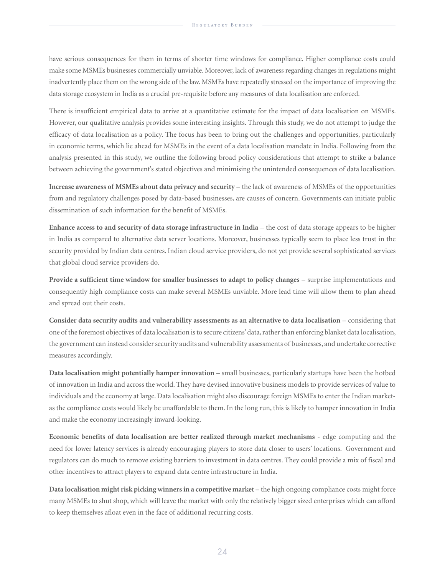have serious consequences for them in terms of shorter time windows for compliance. Higher compliance costs could make some MSMEs businesses commercially unviable. Moreover, lack of awareness regarding changes in regulations might inadvertently place them on the wrong side of the law. MSMEs have repeatedly stressed on the importance of improving the data storage ecosystem in India as a crucial pre-requisite before any measures of data localisation are enforced.

There is insufficient empirical data to arrive at a quantitative estimate for the impact of data localisation on MSMEs. However, our qualitative analysis provides some interesting insights. Through this study, we do not attempt to judge the efficacy of data localisation as a policy. The focus has been to bring out the challenges and opportunities, particularly in economic terms, which lie ahead for MSMEs in the event of a data localisation mandate in India. Following from the analysis presented in this study, we outline the following broad policy considerations that attempt to strike a balance between achieving the government's stated objectives and minimising the unintended consequences of data localisation.

**Increase awareness of MSMEs about data privacy and security** – the lack of awareness of MSMEs of the opportunities from and regulatory challenges posed by data-based businesses, are causes of concern. Governments can initiate public dissemination of such information for the benefit of MSMEs.

**Enhance access to and security of data storage infrastructure in India** – the cost of data storage appears to be higher in India as compared to alternative data server locations. Moreover, businesses typically seem to place less trust in the security provided by Indian data centres. Indian cloud service providers, do not yet provide several sophisticated services that global cloud service providers do.

**Provide a sufficient time window for smaller businesses to adapt to policy changes** – surprise implementations and consequently high compliance costs can make several MSMEs unviable. More lead time will allow them to plan ahead and spread out their costs.

**Consider data security audits and vulnerability assessments as an alternative to data localisation** – considering that one of the foremost objectives of data localisation is to secure citizens' data, rather than enforcing blanket data localisation, the government can instead consider security audits and vulnerability assessments of businesses, and undertake corrective measures accordingly.

**Data localisation might potentially hamper innovation** – small businesses, particularly startups have been the hotbed of innovation in India and across the world. They have devised innovative business models to provide services of value to individuals and the economy at large. Data localisation might also discourage foreign MSMEs to enter the Indian marketas the compliance costs would likely be unaffordable to them. In the long run, this is likely to hamper innovation in India and make the economy increasingly inward-looking.

**Economic benefits of data localisation are better realized through market mechanisms** - edge computing and the need for lower latency services is already encouraging players to store data closer to users' locations. Government and regulators can do much to remove existing barriers to investment in data centres. They could provide a mix of fiscal and other incentives to attract players to expand data centre infrastructure in India.

**Data localisation might risk picking winners in a competitive market** – the high ongoing compliance costs might force many MSMEs to shut shop, which will leave the market with only the relatively bigger sized enterprises which can afford to keep themselves afloat even in the face of additional recurring costs.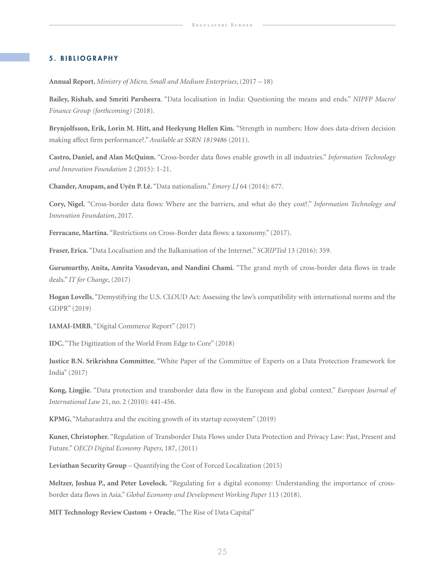#### 5. BIBLIOGRAPHY

**Annual Report**, *Ministry of Micro, Small and Medium Enterprises*, (2017 – 18)

**Bailey, Rishab, and Smriti Parsheera**. "Data localisation in India: Questioning the means and ends." *NIPFP Macro/ Finance Group (forthcoming)* (2018).

**Brynjolfsson, Erik, Lorin M. Hitt, and Heekyung Hellen Kim.** "Strength in numbers: How does data-driven decision making affect firm performance?." *Available at SSRN 1819486* (2011).

**Castro, Daniel, and Alan McQuinn.** "Cross-border data flows enable growth in all industries." *Information Technology and Innovation Foundation* 2 (2015): 1-21.

**Chander, Anupam, and Uyên P. Lê.** "Data nationalism." *Emory LJ* 64 (2014): 677.

**Cory, Nigel.** "Cross-border data flows: Where are the barriers, and what do they cost?." *Information Technology and Innovation Foundation*, 2017.

**Ferracane, Martina.** "Restrictions on Cross-Border data flows: a taxonomy." (2017).

**Fraser, Erica.** "Data Localisation and the Balkanisation of the Internet." *SCRIPTed* 13 (2016): 359.

**Gurumurthy, Anita, Amrita Vasudevan, and Nandini Chami.** "The grand myth of cross-border data flows in trade deals." *IT for Change*, (2017)

**Hogan Lovells**, "Demystifying the U.S. CLOUD Act: Assessing the law's compatibility with international norms and the GDPR" (2019)

**IAMAI-IMRB**, "Digital Commerce Report" (2017)

**IDC**, "The Digitization of the World From Edge to Core" (2018)

**Justice B.N. Srikrishna Committee**, "White Paper of the Committee of Experts on a Data Protection Framework for India" (2017)

**Kong, Lingjie.** "Data protection and transborder data flow in the European and global context." *European Journal of International Law* 21, no. 2 (2010): 441-456.

**KPMG**, "Maharashtra and the exciting growth of its startup ecosystem" (2019)

**Kuner, Christopher.** "Regulation of Transborder Data Flows under Data Protection and Privacy Law: Past, Present and Future." *OECD Digital Economy Papers*, 187, (2011)

**Leviathan Security Group** – Quantifying the Cost of Forced Localization (2015)

**Meltzer, Joshua P., and Peter Lovelock.** "Regulating for a digital economy: Understanding the importance of crossborder data flows in Asia." *Global Economy and Development Working Paper* 113 (2018).

**MIT Technology Review Custom + Oracle**, "The Rise of Data Capital"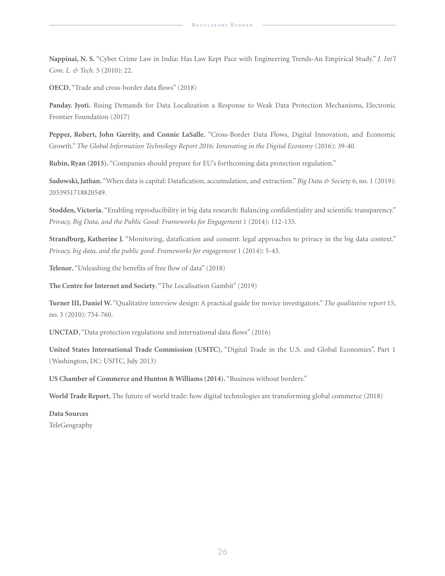**Nappinai, N. S.** "Cyber Crime Law in India: Has Law Kept Pace with Engineering Trends-An Empirical Study." *J. Int'l Com. L. & Tech.* 5 (2010): 22.

**OECD**, "Trade and cross-border data flows" (2018)

**Panday. Jyoti.** Rising Demands for Data Localization a Response to Weak Data Protection Mechanisms, Electronic Frontier Foundation (2017)

**Pepper, Robert, John Garrity, and Connie LaSalle.** "Cross-Border Data Flows, Digital Innovation, and Economic Growth." *The Global Information Technology Report 2016: Innovating in the Digital Economy* (2016): 39-40.

**Rubin, Ryan (2015).** "Companies should prepare for EU's forthcoming data protection regulation."

**Sadowski, Jathan.** "When data is capital: Datafication, accumulation, and extraction." *Big Data & Society* 6, no. 1 (2019): 2053951718820549.

**Stodden, Victoria.** "Enabling reproducibility in big data research: Balancing confidentiality and scientific transparency." *Privacy, Big Data, and the Public Good: Frameworks for Engagement* 1 (2014): 112-135.

**Strandburg, Katherine J.** "Monitoring, datafication and consent: legal approaches to privacy in the big data context." *Privacy, big data, and the public good: Frameworks for engagement* 1 (2014): 5-43.

**Telenor**, "Unleashing the benefits of free flow of data" (2018)

**The Centre for Internet and Society**, "The Localisation Gambit" (2019)

**Turner III, Daniel W.** "Qualitative interview design: A practical guide for novice investigators." *The qualitative report* 15, no. 3 (2010): 754-760.

**UNCTAD**, "Data protection regulations and international data flows" (2016)

**United States International Trade Commission (USITC)**, "Digital Trade in the U.S. and Global Economies", Part 1 (Washington, DC: USITC, July 2013)

**US Chamber of Commerce and Hunton & Williams (2014).** "Business without borders."

**World Trade Report**, The future of world trade: how digital technologies are transforming global commerce (2018)

**Data Sources** TeleGeography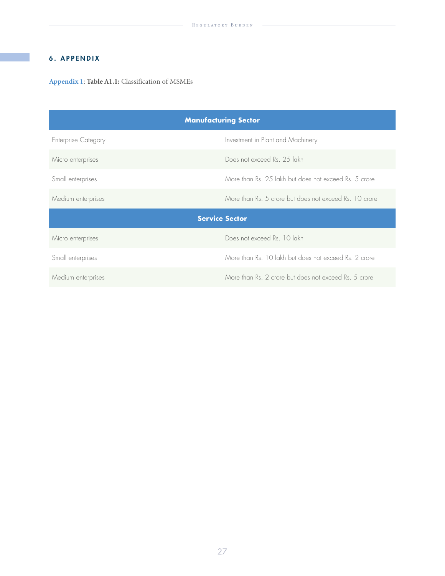# 6. APPENDIX

**Appendix 1**: **Table A1.1:** Classification of MSMEs

| <b>Manufacturing Sector</b> |                                                        |  |  |  |  |
|-----------------------------|--------------------------------------------------------|--|--|--|--|
| <b>Enterprise Category</b>  | Investment in Plant and Machinery                      |  |  |  |  |
| Micro enterprises           | Does not exceed Rs. 25 lakh                            |  |  |  |  |
| Small enterprises           | More than Rs. 25 lakh but does not exceed Rs. 5 crore  |  |  |  |  |
| Medium enterprises          | More than Rs. 5 crore but does not exceed Rs. 10 crore |  |  |  |  |
|                             | <b>Service Sector</b>                                  |  |  |  |  |
| Micro enterprises           | Does not exceed Rs. 10 lakh                            |  |  |  |  |
| Small enterprises           | More than Rs. 10 lakh but does not exceed Rs. 2 crore  |  |  |  |  |
| Medium enterprises          | More than Rs. 2 crore but does not exceed Rs. 5 crore  |  |  |  |  |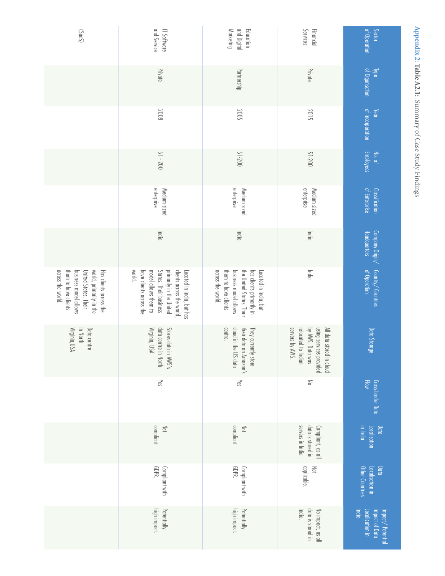| (SnDS)                                                                                                                                          | and Service<br>IT Software                                                                                                                                               | and Digital<br>Marketing<br>Education                                                                                                               | Services<br>Financial                                                                                             | of Operation<br><b>Sector</b>                                  |
|-------------------------------------------------------------------------------------------------------------------------------------------------|--------------------------------------------------------------------------------------------------------------------------------------------------------------------------|-----------------------------------------------------------------------------------------------------------------------------------------------------|-------------------------------------------------------------------------------------------------------------------|----------------------------------------------------------------|
|                                                                                                                                                 | Private                                                                                                                                                                  | Partnership                                                                                                                                         | Private                                                                                                           | of Organisation<br><b>Npe</b>                                  |
|                                                                                                                                                 | 8007                                                                                                                                                                     | 2005                                                                                                                                                | 2015                                                                                                              | of Incorporation<br>Year                                       |
|                                                                                                                                                 | $51 - 200$                                                                                                                                                               | 51-200                                                                                                                                              | 51-200                                                                                                            | Employees<br>No. of                                            |
|                                                                                                                                                 | enterprise<br>Medium sized                                                                                                                                               | enterprise<br>Medium sized                                                                                                                          | enterprise<br>Medium sized                                                                                        | of Enterprise<br><b>Classification</b>                         |
|                                                                                                                                                 | India                                                                                                                                                                    | India                                                                                                                                               | India                                                                                                             | Headquarters<br>Company Origin/                                |
| across the world.<br>world, primarily in the<br>Has clients across the<br>them to have clients<br>business model allows<br>United States. Their | world.<br>have clients across the<br>clients across the world,<br>States. Their business<br>primarily in the United<br>Located in India, but has<br>model allows them to | across the world.<br>them to have clients<br>has clients primarily in<br>business model allows<br>the United States. Their<br>Located in India, but | India                                                                                                             | Country/ Countries<br>of Operation                             |
| in North<br>Virginia, USA<br>Data centre                                                                                                        | Stores data in AWS's<br>data centre in North<br>Virginia, USA                                                                                                            | centre.<br>cloud in the US data<br>their data on Amazon's<br>They currently store                                                                   | servers by AWS.<br>by AWS. Data was<br>using services provided<br>relocated to Indian<br>All data stored in cloud | Data Storage                                                   |
|                                                                                                                                                 | Yes                                                                                                                                                                      | Yes                                                                                                                                                 | $\leq$                                                                                                            | Flow<br>Cross-border Data                                      |
|                                                                                                                                                 | compliant<br>Not                                                                                                                                                         | compliant<br>Not                                                                                                                                    | servers in India<br>data is stored in<br>Compliant, as all                                                        | Data<br>in India<br>Localisation                               |
|                                                                                                                                                 | GDPR.<br>Compliant with                                                                                                                                                  | GDPR.<br>Compliant with                                                                                                                             | applicable.<br>Not                                                                                                | Other Countries<br>Localisation in<br>Data                     |
|                                                                                                                                                 | high impact.<br>Potentially                                                                                                                                              | Potentially<br>high impact.                                                                                                                         | India.<br>data is stored in<br>No impact, as all                                                                  | Localisation in<br>Impact of Data<br>India<br>Impact/Potential |

**Appendix 2**

Appendix 2: Table A2.1: Summary of Case Study Findings

Summary of Case Study Findings

**Table A2.1:**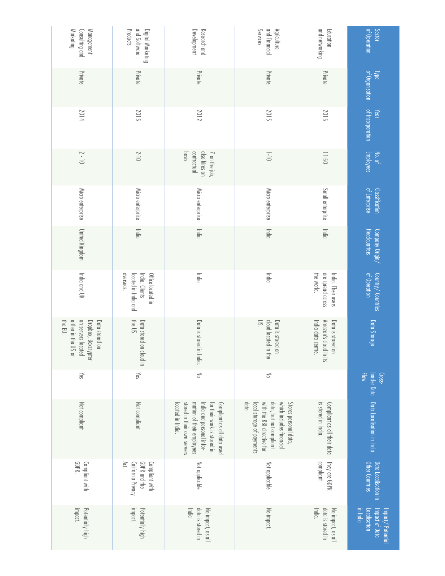| Marketing<br>Consulting and<br>Management                                                     | and Software<br>Digital Marketing<br>Products                            | Development<br>Research and                                                                                                                                             | and Financial<br>Services<br>Agriculture                                                                                                        | and networking<br>Education                                            | of Operation<br>Sector                                         |
|-----------------------------------------------------------------------------------------------|--------------------------------------------------------------------------|-------------------------------------------------------------------------------------------------------------------------------------------------------------------------|-------------------------------------------------------------------------------------------------------------------------------------------------|------------------------------------------------------------------------|----------------------------------------------------------------|
| Private                                                                                       | Private                                                                  | Private                                                                                                                                                                 | Private                                                                                                                                         | Private                                                                | Type<br>of Organisation                                        |
| 2014                                                                                          | 2015                                                                     | 2012                                                                                                                                                                    | 2015                                                                                                                                            | 2015                                                                   | of Incorporation<br>Year                                       |
| $2 - 10$                                                                                      | $2 - 10$                                                                 | also hires on<br>basis.<br>contractual<br>7 on the job,                                                                                                                 | $-1 - 10$                                                                                                                                       | $05 - 11$                                                              | Employees<br>No. of                                            |
| Micro enterprise                                                                              | Micro enterprise                                                         | Micro enterprise                                                                                                                                                        | Micro enterprise                                                                                                                                | Small enterprise                                                       | of Enterprise<br>Classification                                |
| United Kingdom                                                                                | India                                                                    | India                                                                                                                                                                   | India                                                                                                                                           | India                                                                  | Headquarters<br>Company Origin/                                |
| India and UK                                                                                  | overseas.<br>located in India and<br>India. Clients<br>Office located in | India                                                                                                                                                                   | India                                                                                                                                           | are spread across<br>the world.<br>India. Their users                  | Country/Countries<br>of Operation                              |
| either in the US or<br>on servers located<br>Dropbox, Boxcrypter<br>the EU.<br>Data stored on | the US.<br>Data stored on cloud in                                       | Data is stored<br>in India.                                                                                                                                             | $\mathbb{R}$<br>cloud located in the<br>Data is stored<br>$\Xi$                                                                                 | Amazon's cloud in its<br>Data is stored<br>India data centre.<br>$\Xi$ | Data Storage                                                   |
| Yes                                                                                           | Yes                                                                      | $\geq$                                                                                                                                                                  | $\leq$                                                                                                                                          |                                                                        | Flow<br>Cross-                                                 |
| Not compliant                                                                                 | Not compliant                                                            | stored in their own servers<br>mation of their employees<br>for their work is stored in<br>Compliant as all data used<br>located in India.<br>India and personal infor- | data<br>with the RBI directive for<br>data, but not compliant<br>which includes financial<br>local storage of payments<br>Stores personal data, | is stored in India.<br>Compliant as all their data                     | border Data Data Localisation in India                         |
| GDPR.<br>Compliant with                                                                       | Act.<br>California Privacy<br>GDPR and the<br>Compliant with             | Not applicable                                                                                                                                                          | Not applicable                                                                                                                                  | compliant<br>They are GDPR                                             | Other Countries<br>Data Localisation in                        |
| Potentially high<br>impact.                                                                   | impact.<br>Potentially high                                              | <b>India</b><br>data is stored in<br>No impact, as all                                                                                                                  | No impact.                                                                                                                                      | India.<br>data is stored in<br>No impact, as all                       | in India<br>Impact of Data<br>Localisation<br>Impact/Potential |